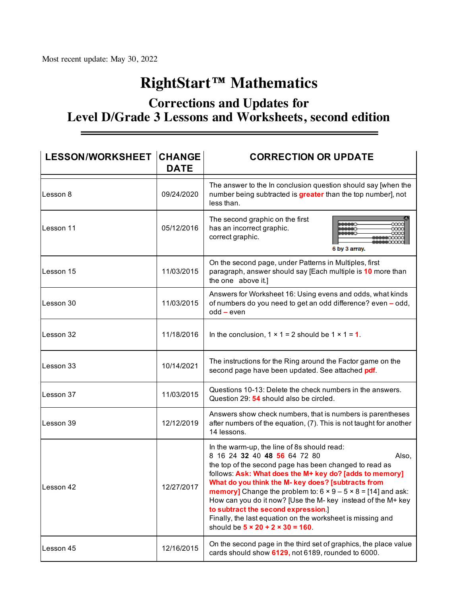# **RightStart™ Mathematics**

## **Corrections and Updates for Level D/Grade 3 Lessons and Worksheets, second edition**

| <b>LESSON/WORKSHEET CHANGE</b> | <b>DATE</b> | <b>CORRECTION OR UPDATE</b>                                                                                                                                                                                                                                                                                                                                                                                                                                                                                                                                              |
|--------------------------------|-------------|--------------------------------------------------------------------------------------------------------------------------------------------------------------------------------------------------------------------------------------------------------------------------------------------------------------------------------------------------------------------------------------------------------------------------------------------------------------------------------------------------------------------------------------------------------------------------|
| Lesson 8                       | 09/24/2020  | The answer to the In conclusion question should say [when the<br>number being subtracted is greater than the top number], not<br>less than.                                                                                                                                                                                                                                                                                                                                                                                                                              |
| Lesson 11                      | 05/12/2016  | The second graphic on the first<br>has an incorrect graphic.<br>correct graphic.<br>6 by 3 array.                                                                                                                                                                                                                                                                                                                                                                                                                                                                        |
| Lesson 15                      | 11/03/2015  | On the second page, under Patterns in Multiples, first<br>paragraph, answer should say [Each multiple is 10 more than<br>the one above it.]                                                                                                                                                                                                                                                                                                                                                                                                                              |
| Lesson 30                      | 11/03/2015  | Answers for Worksheet 16: Using evens and odds, what kinds<br>of numbers do you need to get an odd difference? even - odd,<br>$odd - even$                                                                                                                                                                                                                                                                                                                                                                                                                               |
| Lesson 32                      | 11/18/2016  | In the conclusion, $1 \times 1 = 2$ should be $1 \times 1 = 1$ .                                                                                                                                                                                                                                                                                                                                                                                                                                                                                                         |
| Lesson 33                      | 10/14/2021  | The instructions for the Ring around the Factor game on the<br>second page have been updated. See attached pdf.                                                                                                                                                                                                                                                                                                                                                                                                                                                          |
| Lesson 37                      | 11/03/2015  | Questions 10-13: Delete the check numbers in the answers.<br>Question 29: 54 should also be circled.                                                                                                                                                                                                                                                                                                                                                                                                                                                                     |
| Lesson 39                      | 12/12/2019  | Answers show check numbers, that is numbers is parentheses<br>after numbers of the equation, (7). This is not taught for another<br>14 lessons.                                                                                                                                                                                                                                                                                                                                                                                                                          |
| Lesson 42                      | 12/27/2017  | In the warm-up, the line of 8s should read:<br>8 16 24 32 40 48 56 64 72 80<br>Also,<br>the top of the second page has been changed to read as<br>follows: Ask: What does the M+ key do? [adds to memory]<br>What do you think the M- key does? [subtracts from<br><b>memory]</b> Change the problem to: $6 \times 9 - 5 \times 8 = [14]$ and ask:<br>How can you do it now? [Use the M- key instead of the M+ key<br>to subtract the second expression.]<br>Finally, the last equation on the worksheet is missing and<br>should be $5 \times 20 + 2 \times 30 = 160$ . |
| Lesson 45                      | 12/16/2015  | On the second page in the third set of graphics, the place value<br>cards should show 6129, not 6189, rounded to 6000.                                                                                                                                                                                                                                                                                                                                                                                                                                                   |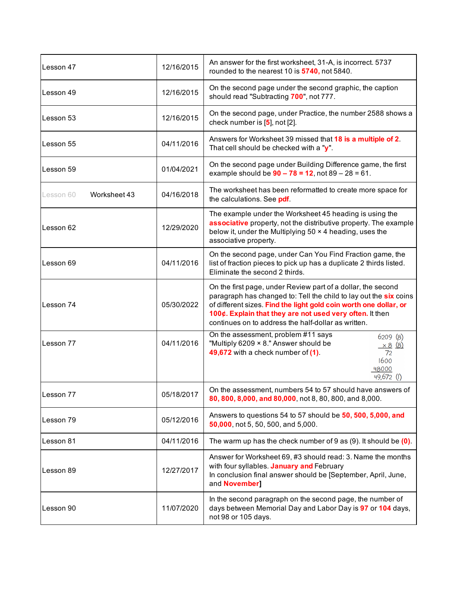| Lesson 47                 | 12/16/2015 | An answer for the first worksheet, 31-A, is incorrect. 5737<br>rounded to the nearest 10 is 5740, not 5840.                                                                                                                                                                                                               |
|---------------------------|------------|---------------------------------------------------------------------------------------------------------------------------------------------------------------------------------------------------------------------------------------------------------------------------------------------------------------------------|
| Lesson 49                 | 12/16/2015 | On the second page under the second graphic, the caption<br>should read "Subtracting 700", not 777.                                                                                                                                                                                                                       |
| Lesson 53                 | 12/16/2015 | On the second page, under Practice, the number 2588 shows a<br>check number is $[5]$ , not $[2]$ .                                                                                                                                                                                                                        |
| Lesson 55                 | 04/11/2016 | Answers for Worksheet 39 missed that 18 is a multiple of 2.<br>That cell should be checked with a "y".                                                                                                                                                                                                                    |
| Lesson 59                 | 01/04/2021 | On the second page under Building Difference game, the first<br>example should be $90 - 78 = 12$ , not $89 - 28 = 61$ .                                                                                                                                                                                                   |
| Worksheet 43<br>Lesson 60 | 04/16/2018 | The worksheet has been reformatted to create more space for<br>the calculations. See pdf.                                                                                                                                                                                                                                 |
| Lesson 62                 | 12/29/2020 | The example under the Worksheet 45 heading is using the<br>associative property, not the distributive property. The example<br>below it, under the Multiplying 50 x 4 heading, uses the<br>associative property.                                                                                                          |
| Lesson 69                 | 04/11/2016 | On the second page, under Can You Find Fraction game, the<br>list of fraction pieces to pick up has a duplicate 2 thirds listed.<br>Eliminate the second 2 thirds.                                                                                                                                                        |
| Lesson 74                 | 05/30/2022 | On the first page, under Review part of a dollar, the second<br>paragraph has changed to: Tell the child to lay out the six coins<br>of different sizes. Find the light gold coin worth one dollar, or<br>100¢. Explain that they are not used very often. It then<br>continues on to address the half-dollar as written. |
| Lesson 77                 | 04/11/2016 | On the assessment, problem #11 says<br>6209(8)<br>"Multiply 6209 × 8." Answer should be<br>$\frac{\times 8}{72}$ (8)<br>49,672 with a check number of (1).<br>1600<br>48000<br>$49,672$ (I)                                                                                                                               |
| Lesson 77                 | 05/18/2017 | On the assessment, numbers 54 to 57 should have answers of<br>80, 800, 8,000, and 80,000, not 8, 80, 800, and 8,000.                                                                                                                                                                                                      |
| Lesson 79                 | 05/12/2016 | Answers to questions 54 to 57 should be 50, 500, 5,000, and<br>50,000, not 5, 50, 500, and 5,000.                                                                                                                                                                                                                         |
| Lesson 81                 | 04/11/2016 | The warm up has the check number of 9 as $(9)$ . It should be $(0)$ .                                                                                                                                                                                                                                                     |
| Lesson 89                 | 12/27/2017 | Answer for Worksheet 69, #3 should read: 3. Name the months<br>with four syllables. January and February<br>In conclusion final answer should be [September, April, June,<br>and November]                                                                                                                                |
| Lesson 90                 | 11/07/2020 | In the second paragraph on the second page, the number of<br>days between Memorial Day and Labor Day is 97 or 104 days,<br>not 98 or 105 days.                                                                                                                                                                            |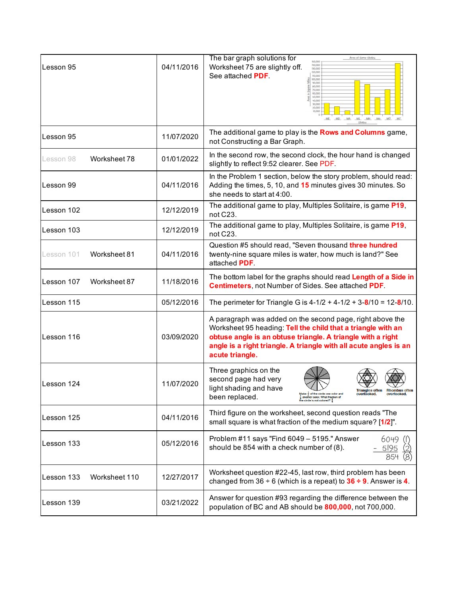| Lesson 95                   | 04/11/2016 | The bar graph solutions for<br>Area of Some States<br>150,000<br>140,000<br>Worksheet 75 are slightly off.<br>130,000<br>120,000<br>See attached PDF.<br>110,000<br>100,000<br>90.000<br>80,000<br>70,000<br>60,000<br>50,000<br>40,000<br>30.000<br>20.000<br><b>MN</b>                                               |
|-----------------------------|------------|------------------------------------------------------------------------------------------------------------------------------------------------------------------------------------------------------------------------------------------------------------------------------------------------------------------------|
| Lesson 95                   | 11/07/2020 | The additional game to play is the Rows and Columns game,<br>not Constructing a Bar Graph.                                                                                                                                                                                                                             |
| Worksheet 78<br>Lesson 98   | 01/01/2022 | In the second row, the second clock, the hour hand is changed<br>slightly to reflect 9:52 clearer. See PDF.                                                                                                                                                                                                            |
| Lesson 99                   | 04/11/2016 | In the Problem 1 section, below the story problem, should read:<br>Adding the times, 5, 10, and 15 minutes gives 30 minutes. So<br>she needs to start at 4:00.                                                                                                                                                         |
| lLesson 102                 | 12/12/2019 | The additional game to play, Multiples Solitaire, is game P19,<br>not C23.                                                                                                                                                                                                                                             |
| Lesson 103                  | 12/12/2019 | The additional game to play, Multiples Solitaire, is game P19,<br>not C23.                                                                                                                                                                                                                                             |
| Worksheet 81<br>Lesson 101  | 04/11/2016 | Question #5 should read, "Seven thousand three hundred<br>twenty-nine square miles is water, how much is land?" See<br>attached PDF.                                                                                                                                                                                   |
| Lesson 107<br>Worksheet 87  | 11/18/2016 | The bottom label for the graphs should read Length of a Side in<br><b>Centimeters, not Number of Sides. See attached PDF.</b>                                                                                                                                                                                          |
| Lesson 115                  | 05/12/2016 | The perimeter for Triangle G is $4-1/2 + 4-1/2 + 3-8/10 = 12-8/10$ .                                                                                                                                                                                                                                                   |
| Lesson 116                  | 03/09/2020 | A paragraph was added on the second page, right above the<br>Worksheet 95 heading: Tell the child that a triangle with an<br>obtuse angle is an obtuse triangle. A triangle with a right<br>angle is a right triangle. A triangle with all acute angles is an<br>acute triangle.                                       |
| Lesson 124                  | 11/07/2020 | Three graphics on the<br>second page had very<br>light shading and have<br><b>Triangles often</b><br><b>RHOMDUS ORE</b><br>Make $\frac{1}{2}$ of the circle one color and<br>overlooked.<br>overlooked.<br>been replaced.<br>$\frac{1}{4}$ another color. What fraction of<br>the circle is not colored? $\frac{1}{4}$ |
| Lesson 125                  | 04/11/2016 | Third figure on the worksheet, second question reads "The<br>small square is what fraction of the medium square? [1/2]".                                                                                                                                                                                               |
| Lesson 133                  | 05/12/2016 | Problem #11 says "Find 6049 - 5195." Answer<br>6049 (I)<br>should be 854 with a check number of (8).<br>5195<br>854                                                                                                                                                                                                    |
| Worksheet 110<br>Lesson 133 | 12/27/2017 | Worksheet question #22-45, last row, third problem has been<br>changed from 36 $\div$ 6 (which is a repeat) to 36 $\div$ 9. Answer is 4.                                                                                                                                                                               |
| Lesson 139                  | 03/21/2022 | Answer for question #93 regarding the difference between the<br>population of BC and AB should be 800,000, not 700,000.                                                                                                                                                                                                |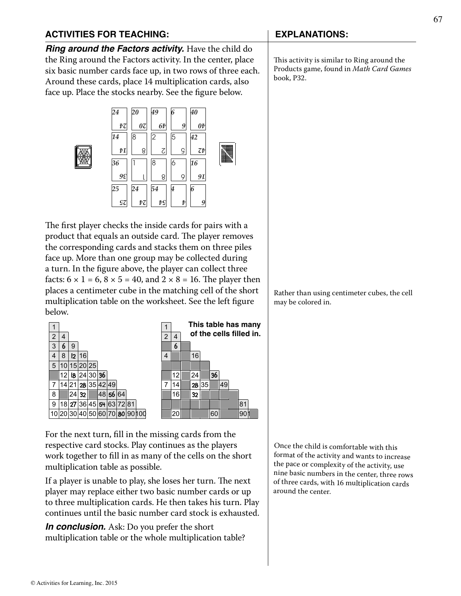### **ACTIVITIES FOR TEACHING: EXPLANATIONS:**

*Ring around the Factors activity.* Have the child do the Ring around the Factors activity. In the center, place six basic number cards face up, in two rows of three each. Around these cards, place 14 multiplication cards, also face up. Place the stocks nearby. See the figure below.





The first player checks the inside cards for pairs with a product that equals an outside card. The player removes the corresponding cards and stacks them on three piles face up. More than one group may be collected during a turn. In the figure above, the player can collect three facts:  $6 \times 1 = 6$ ,  $8 \times 5 = 40$ , and  $2 \times 8 = 16$ . The player then places a centimeter cube in the matching cell of the short multiplication table on the worksheet. See the left figure below.



For the next turn, fill in the missing cards from the respective card stocks. Play continues as the players work together to fill in as many of the cells on the short multiplication table as possible.

If a player is unable to play, she loses her turn. The next player may replace either two basic number cards or up to three multiplication cards. He then takes his turn. Play continues until the basic number card stock is exhausted.

*In conclusion.* Ask: Do you prefer the short multiplication table or the whole multiplication table?

This activity is similar to Ring around the Products game, found in *Math Card Games* book, P32.

Rather than using centimeter cubes, the cell may be colored in.

Once the child is comfortable with this format of the activity and wants to increase the pace or complexity of the activity, use nine basic numbers in the center, three rows of three cards, with 16 multiplication cards around the center.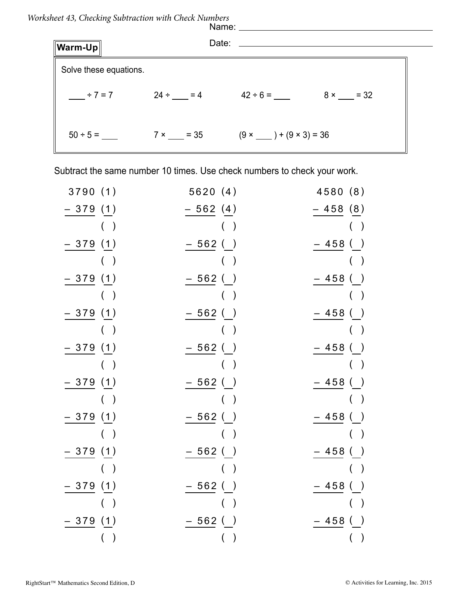*Worksheet 43, Checking Subtraction with Check Numbers* 

|                        |  | Name: _______                                                                                                        |  |
|------------------------|--|----------------------------------------------------------------------------------------------------------------------|--|
| $\ $ Warm-Up $\ $      |  | Date: ______                                                                                                         |  |
| Solve these equations. |  |                                                                                                                      |  |
| $+7=7$                 |  | $24 \div \underline{\hspace{1cm}} = 4$ $42 \div 6 = \underline{\hspace{1cm}} 8 \times \underline{\hspace{1cm}} = 32$ |  |
|                        |  | $7 \times \_ = 35$ $(9 \times \_ ) + (9 \times 3) = 36$                                                              |  |

Subtract the same number 10 times. Use check numbers to check your work.

| 3790(1)   | 5620(4)                   | 4580 (8)        |
|-----------|---------------------------|-----------------|
| - 379 (1) | $-562(4)$                 | $-458(8)$       |
| $($ )     | $($ )                     | $($ )           |
| - 379 (1) | $-562()$                  | $-458$<br>$($ ) |
| ( )       | $($ )                     | ( )             |
| – 379 (1) | - 562 ( )                 | $-458()$        |
| ( )       | $($ )                     | $($ )           |
| – 379 (1) | – 562 ()                  | – 458 ( )       |
| $($ )     | $($ )                     | $($ )           |
| – 379 (1) | - 562 ( )                 | $-458()$        |
| ( )       | $($ )                     | ( )             |
| - 379 (1) | – 562 ( )                 | – 458 ()        |
| $($ )     | $($ )                     | $($ )           |
| 379 (1)   | – 562 ( )                 | – 458 ()        |
| $($ $)$   | $($ )                     | ( )             |
| 379(1)    | – 562 ( )                 | – 458 ( )       |
| ( )       | ( )                       | $($ )           |
| – 379 (1) | - 562 ( )                 | – 458 ()        |
| $($ )     | $\left($<br>$\rightarrow$ | $($ )           |
| 379(1)    | – 562 ( )                 | $-458()$        |
| ( )       |                           | $($ )           |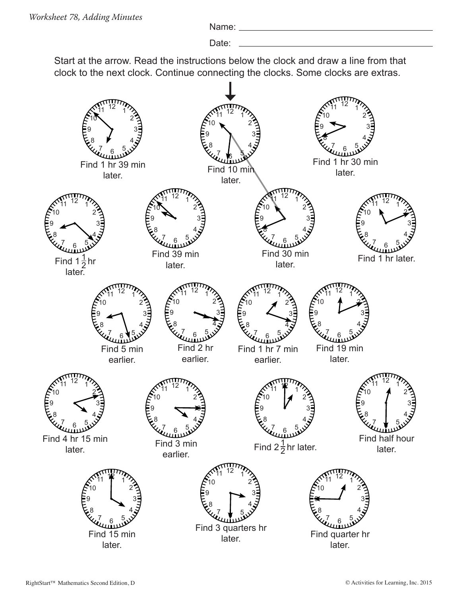Name:

Date:

Start at the arrow. Read the instructions below the clock and draw a line from that clock to the next clock. Continue connecting the clocks. Some clocks are extras.

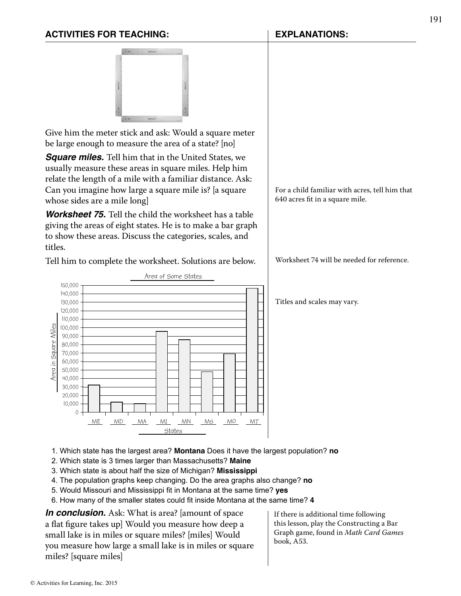### **ACTIVITIES FOR TEACHING: EXPLANATIONS:**



Give him the meter stick and ask: Would a square meter be large enough to measure the area of a state? [no]

*Square miles.* Tell him that in the United States, we usually measure these areas in square miles. Help him relate the length of a mile with a familiar distance. Ask: Can you imagine how large a square mile is? [a square whose sides are a mile long]

*Worksheet 75.* Tell the child the worksheet has a table giving the areas of eight states. He is to make a bar graph to show these areas. Discuss the categories, scales, and titles.

Tell him to complete the worksheet. Solutions are below.



For a child familiar with acres, tell him that 640 acres fit in a square mile.

Worksheet 74 will be needed for reference.

Titles and scales may vary.

- 1. Which state has the largest area? **Montana** Does it have the largest population? **no**
- 2. Which state is 3 times larger than Massachusetts? **Maine**
- 3. Which state is about half the size of Michigan? **Mississippi**
- 4. The population graphs keep changing. Do the area graphs also change? **no**
- 5. Would Missouri and Mississippi fit in Montana at the same time? yes
- 6. How many of the smaller states could fit inside Montana at the same time? 4

*In conclusion.* Ask: What is area? [amount of space a flat figure takes up] Would you measure how deep a small lake is in miles or square miles? [miles] Would you measure how large a small lake is in miles or square miles? [square miles]

If there is additional time following this lesson, play the Constructing a Bar Graph game, found in *Math Card Games*  book, A53.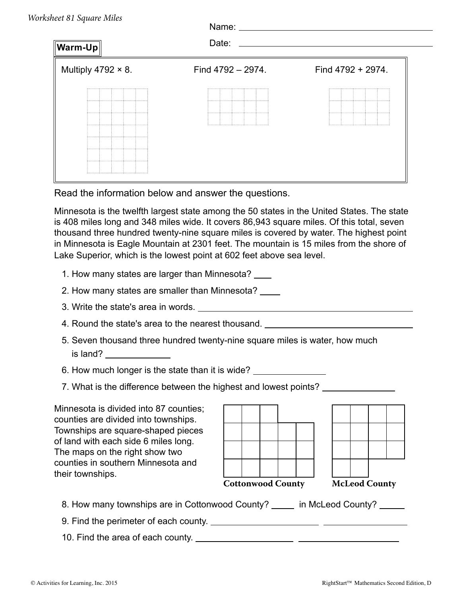| Warm-Up                   | Name:<br>Date:    |                   |
|---------------------------|-------------------|-------------------|
| Multiply 4792 $\times$ 8. | Find 4792 - 2974. | Find 4792 + 2974. |
|                           |                   |                   |

Read the information below and answer the questions.

Minnesota is the twelfth largest state among the 50 states in the United States. The state is 408 miles long and 348 miles wide. It covers 86,943 square miles. Of this total, seven thousand three hundred twenty-nine square miles is covered by water. The highest point in Minnesota is Eagle Mountain at 2301 feet. The mountain is 15 miles from the shore of Lake Superior, which is the lowest point at 602 feet above sea level.

- 1. How many states are larger than Minnesota?
- 2. How many states are smaller than Minnesota?
- 3. Write the state's area in words.
- 4. Round the state's area to the nearest thousand.
- 5. Seven thousand three hundred twenty-nine square miles is water, how much is land?

6. How much longer is the state than it is wide?

7. What is the difference between the highest and lowest points?

Minnesota is divided into 87 counties; counties are divided into townships. Townships are square-shaped pieces of land with each side 6 miles long. The maps on the right show two counties in southern Minnesota and their townships.

| <b>Cottonwood County</b> |  |  |  | <b>McLeod County</b> |  |
|--------------------------|--|--|--|----------------------|--|

- 8. How many townships are in Cottonwood County? \_\_\_\_\_ in McLeod County? \_\_\_\_\_
- 9. Find the perimeter of each county.
- 10. Find the area of each county.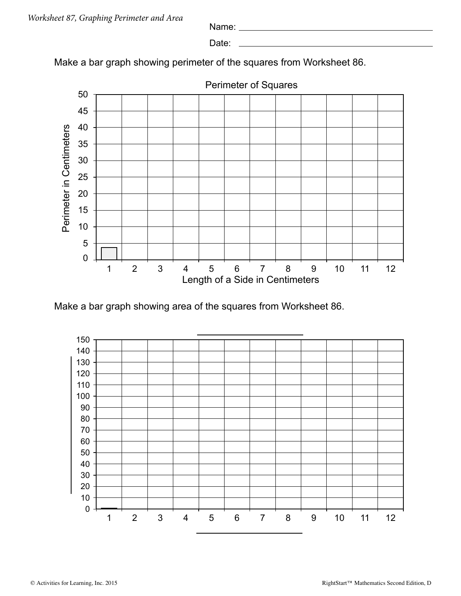Name:

Date: \_

Make a bar graph showing perimeter of the squares from Worksheet 86.



Make a bar graph showing area of the squares from Worksheet 86.

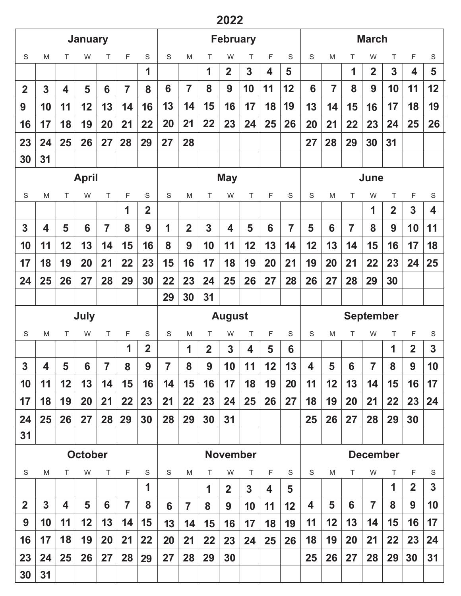# 

|                |                         |                | <b>January</b> |                |                |                |             |                |                | <b>February</b>         |    |             |                |                         |                |                | <b>March</b>     |                         |                         |             |
|----------------|-------------------------|----------------|----------------|----------------|----------------|----------------|-------------|----------------|----------------|-------------------------|----|-------------|----------------|-------------------------|----------------|----------------|------------------|-------------------------|-------------------------|-------------|
| $\mathsf S$    | M                       | T              | W              | Τ              | F              | S              | S           | ${\sf M}$      | Τ              | W                       | Τ  | F           | S              | S                       | M              | т              | W                | T                       | F                       | $\mathsf S$ |
|                |                         |                |                |                |                | 1              |             |                | 1              | $\overline{2}$          | 3  | 4           | 5              |                         |                | 1              | $\overline{2}$   | $\overline{\mathbf{3}}$ | $\overline{\mathbf{4}}$ | 5           |
| $\overline{2}$ | 3                       | 4              | 5              | 6              | $\overline{7}$ | 8              | 6           | $\overline{7}$ | 8              | 9                       | 10 | 11          | 12             | 6                       | $\overline{7}$ | 8              | 9                | 10                      | 11                      | 12          |
| 9              | 10                      | 11             | 12             | 13             | 14             | 16             | 13          | 14             | 15             | 16                      | 17 | 18          | 19             | 13                      | 14             | 15             | 16               | 17                      | 18                      | 19          |
| 16             | 17                      | 18             | 19             | 20             | 21             | 22             | 20          | 21             | 22             | 23                      | 24 | 25          | 26             | 20                      | 21             | 22             | 23               | 24                      | 25                      | 26          |
| 23             | 24                      | 25             | 26             | 27             | 28             | 29             | 27          | 28             |                |                         |    |             |                | 27                      | 28             | 29             | 30               | 31                      |                         |             |
| 30             | 31                      |                |                |                |                |                |             |                |                |                         |    |             |                |                         |                |                |                  |                         |                         |             |
|                |                         |                | <b>April</b>   |                |                |                |             |                |                | <b>May</b>              |    |             |                |                         |                |                | June             |                         |                         |             |
| S              | M                       | Τ              | W              | T              | F              | S              | S           | M              | Τ              | W                       | Τ  | F           | $\mathbf S$    | $\mathbf S$             | M              | T              | W                | $\top$                  | F                       | S           |
|                |                         |                |                |                | 1              | $\overline{2}$ |             |                |                |                         |    |             |                |                         |                |                | 1                | $\overline{2}$          | 3                       | 4           |
| $\mathbf{3}$   | 4                       | 5              | 6              | $\overline{7}$ | 8              | 9              | 1           | $\overline{2}$ | 3              | $\overline{\mathbf{4}}$ | 5  | 6           | $\overline{7}$ | 5                       | 6              | $\overline{7}$ | 8                | 9                       | 10                      | 11          |
| 10             | 11                      | 12             | 13             | 14             | 15             | 16             | 8           | 9              | 10             | 11                      | 12 | 13          | 14             | 12                      | 13             | 14             | 15               | 16                      | 17                      | 18          |
| 17             | 18                      | 19             | 20             | 21             | 22             | 23             | 15          | 16             | 17             | 18                      | 19 | 20          | 21             | 19                      | 20             | 21             | 22               | 23                      | 24                      | 25          |
| 24             | 25                      | 26             | 27             | 28             | 29             | 30             | 22          | 23             | 24             | 25                      | 26 | 27          | 28             | 26                      | 27             | 28             | 29               | 30                      |                         |             |
|                |                         |                |                |                |                |                | 29          | 30             | 31             |                         |    |             |                |                         |                |                |                  |                         |                         |             |
|                |                         |                |                |                |                |                |             |                |                |                         |    |             |                |                         |                |                |                  |                         |                         |             |
|                |                         |                | July           |                |                |                |             |                |                | <b>August</b>           |    |             |                |                         |                |                | <b>September</b> |                         |                         |             |
| $\mathbf S$    | M                       | Τ              | W              | Τ              | F              | S              | $\mathbf S$ | M              | Τ              | W                       | Τ  | F           | S              | S                       | M              | Τ              | W                | Τ                       | F                       | S           |
|                |                         |                |                |                | 1              | $\overline{2}$ |             | 1              | $\overline{2}$ | 3                       | 4  | 5           | 6              |                         |                |                |                  | 1                       | $\overline{2}$          | 3           |
| $\mathbf{3}$   | $\overline{\mathbf{4}}$ | 5 <sup>5</sup> | $6\phantom{a}$ | $\overline{7}$ | 8              | 9              | 7           | 8              | 9              | 10                      | 11 | 12          | 13             | $\overline{\mathbf{4}}$ | 5              | 6              | $\overline{7}$   | 8                       | 9                       | 10          |
| 10             | 11                      | 12             | 13             | 14             | 15             | 16             | 14          | 15             | 16             | 17                      | 18 | 19          | 20             | 11                      | 12             | 13             | 14               | 15                      | 16                      | 17          |
| 17             | 18                      | 19             | 20             | 21             | 22             | 23             | 21          | 22             | 23             | 24                      | 25 | 26          | 27             | 18                      | 19             | 20             | 21               | 22                      | 23                      | 24          |
| 24             | 25                      | 26             | 27             | 28             | 29             | 30             | 28          | 29             | 30             | 31                      |    |             |                | 25                      | 26             | 27             | 28               | 29                      | 30                      |             |
| 31             |                         |                |                |                |                |                |             |                |                |                         |    |             |                |                         |                |                |                  |                         |                         |             |
|                |                         |                | <b>October</b> |                |                |                |             |                |                | <b>November</b>         |    |             |                |                         |                |                | <b>December</b>  |                         |                         |             |
| $\mathsf S$    | ${\sf M}$               | T              | W              | $\top$         | F              | S              | S           | M              | T.             | W                       | Τ  | $\mathsf F$ | S              | $\mathsf S$             | M              | T              | W                | T                       | F                       | S           |
|                |                         |                |                |                |                | 1              |             |                | 1              | $\overline{2}$          | 3  | 4           | 5              |                         |                |                |                  | 1                       | $\overline{2}$          | 3           |
| $\overline{2}$ | $\overline{3}$          | 4              | 5              | 6              | $\overline{7}$ | 8              | 6           | $\overline{7}$ | 8              | 9                       | 10 | 11          | 12             | 4                       | 5              | 6              | $\overline{7}$   | 8                       | 9                       | 10          |
| 9              | 10                      | 11             | 12             | 13             | 14             | 15             | 13          | 14             | 15             | 16                      | 17 | 18          | 19             | 11                      | 12             | 13             | 14               | 15                      | 16                      | 17          |
| 16             | 17                      | 18             | 19             | 20             | 21             | 22             | 20          | 21             | 22             | 23                      | 24 | 25          | 26             | 18                      | 19             | 20             | 21               | 22                      | 23                      | 24          |
| 23             | 24                      | 25             | 26             | 27             | 28             | 29             | 27          | 28             | 29             | 30                      |    |             |                | 25                      | 26             | 27             | 28               | 29                      | 30                      | 31          |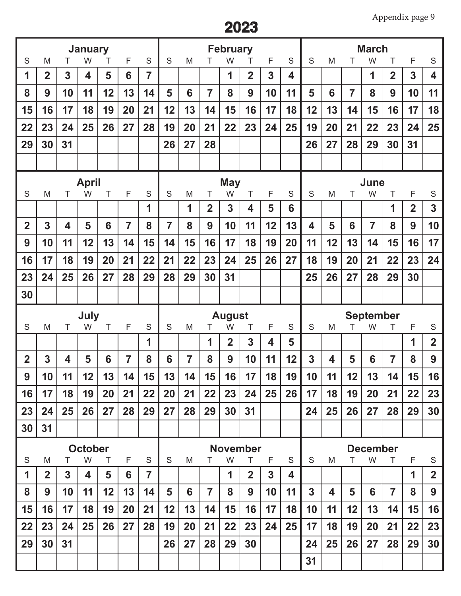| S              | M              | Τ            | <b>January</b><br>W     | Τ      | F              | S              | S              | M              | т              | <b>February</b><br>W | т              | F              | S      | S              | M  | Τ              | <b>March</b><br>W    | Τ              | F              | S                       |
|----------------|----------------|--------------|-------------------------|--------|----------------|----------------|----------------|----------------|----------------|----------------------|----------------|----------------|--------|----------------|----|----------------|----------------------|----------------|----------------|-------------------------|
| 1              | $\overline{2}$ | 3            | $\overline{\mathbf{4}}$ | 5      | 6              | $\overline{7}$ |                |                |                | 1                    | $\overline{2}$ | $\overline{3}$ | 4      |                |    |                | 1                    | $\overline{2}$ | $\overline{3}$ | $\overline{\mathbf{4}}$ |
| 8              | 9              | 10           | 11                      | 12     | 13             | 14             | 5              | 6              | $\overline{7}$ | 8                    | 9              | 10             | 11     | 5              | 6  | $\overline{7}$ | 8                    | 9              | 10             | 11                      |
| 15             | 16             | 17           | 18                      | 19     | 20             | 21             | 12             | 13             | 14             | 15                   | 16             | 17             | 18     | 12             | 13 | 14             | 15                   | 16             | 17             | 18                      |
| 22             | 23             | 24           | 25                      | 26     | 27             | 28             | 19             | 20             | 21             | 22                   | 23             | 24             | 25     | 19             | 20 | 21             | 22                   | 23             | 24             | 25                      |
| 29             | 30             | 31           |                         |        |                |                | 26             | 27             | 28             |                      |                |                |        | 26             | 27 | 28             | 29                   | 30             | 31             |                         |
|                |                |              |                         |        |                |                |                |                |                |                      |                |                |        |                |    |                |                      |                |                |                         |
|                |                |              | <b>April</b>            |        |                |                |                |                |                | <b>May</b>           |                |                |        |                |    |                | June                 |                |                |                         |
| S              | M              | T            | W                       | T      | F              | S              | S              | M              | T              | W                    | Τ              | F              | S      | S              | M  | Τ              | W                    | Τ              | F              | S                       |
|                |                |              |                         |        |                | 1              |                | 1              | $\overline{2}$ | 3                    | 4              | 5              | 6      |                |    |                |                      | 1              | $\overline{2}$ | $\overline{3}$          |
| $\overline{2}$ | $\overline{3}$ | 4            | 5                       | 6      | $\overline{7}$ | 8              | $\overline{7}$ | 8              | 9              | 10                   | 11             | 12             | 13     | 4              | 5  | 6              | $\overline{7}$       | 8              | 9              | 10                      |
| 9              | 10             | 11           | 12                      | 13     | 14             | 15             | 14             | 15             | 16             | 17                   | 18             | 19             | 20     | 11             | 12 | 13             | 14                   | 15             | 16             | 17                      |
| 16             | 17             | 18           | 19                      | 20     | 21             | 22             | 21             | 22             | 23             | 24                   | 25             | 26             | 27     | 18             | 19 | 20             | 21                   | 22             | 23             | 24                      |
| 23             | 24             | 25           | 26                      | 27     | 28             | 29             | 28             | 29             | 30             | 31                   |                |                |        | 25             | 26 | 27             | 28                   | 29             | 30             |                         |
| 30             |                |              |                         |        |                |                |                |                |                |                      |                |                |        |                |    |                |                      |                |                |                         |
|                |                |              |                         |        |                |                |                |                |                |                      |                |                |        |                |    |                |                      |                |                |                         |
|                |                |              | <b>July</b>             |        |                |                |                |                |                | <b>August</b>        |                |                |        |                |    |                | <b>September</b>     |                |                |                         |
| S              | M              | Τ            | W                       | Τ      | F              | S<br>1         | S              | M              | Τ<br>1         | W<br>$\overline{2}$  | т<br>3         | F<br>4         | S<br>5 | S              | M  | Τ              | W                    | Τ              | F<br>1         | S<br>$\overline{2}$     |
| $\overline{2}$ | 3              | 4            | 5                       | 6      | $\overline{7}$ | 8              | 6              | $\overline{7}$ | 8              | 9                    | 10             | 11             | 12     | 3              | 4  | 5              | 6                    | $\overline{7}$ | 8              | 9                       |
| 9              | 10             | 11           | 12                      | 13     | 14             | 15             | 13             | 14             | 15             | 16                   | 17             | 18             | 19     | 10             | 11 | 12             | 13                   | 14             | 15             | 16                      |
| 16             | 17             | 18           | 19                      | 20     | 21             | 22             | 20             | 21             | 22             | 23                   | 24             | 25             | 26     | 17             | 18 | 19             | 20                   | 21             | 22             | 23                      |
| 23             | 24             | 25           | 26                      | 27     | 28             | 29             | 27             | 28             | 29             | 30                   | 31             |                |        | 24             | 25 | 26             | 27                   | 28             | 29             | 30                      |
| 30             | 31             |              |                         |        |                |                |                |                |                |                      |                |                |        |                |    |                |                      |                |                |                         |
|                |                |              |                         |        |                |                |                |                |                |                      |                |                |        |                |    |                |                      |                |                |                         |
| $\mathsf S$    | M              | т            | <b>October</b><br>W     | $\top$ | F              | S              | S              | M              | Τ              | <b>November</b><br>W | T              | F              | S      | S              | M  | T              | <b>December</b><br>W | T              | F              | S                       |
| 1              | $\overline{2}$ | $\mathbf{3}$ | 4                       | 5      | 6              | $\overline{7}$ |                |                |                | 1                    | $\overline{2}$ | 3 <sup>1</sup> | 4      |                |    |                |                      |                | 1              | $\overline{2}$          |
| 8              | 9              | 10           | 11                      | 12     | 13             | 14             | 5              | 6              | $\overline{7}$ | 8                    | 9              | 10             | 11     | $\overline{3}$ | 4  | 5              | 6                    | $\overline{7}$ | 8              | 9                       |
| 15             | 16             | 17           | 18                      | 19     | 20             | 21             | 12             | 13             | 14             | 15                   | 16             | 17             | 18     | 10             | 11 | 12             | 13                   | 14             | 15             | 16                      |
| 22             | 23             | 24           | 25                      | 26     | 27             | 28             | 19             | 20             | 21             | 22                   | 23             | 24             | 25     | 17             | 18 | 19             | 20                   | 21             | 22             | 23                      |
| 29             | 30             | 31           |                         |        |                |                | 26             | 27             | 28             | 29                   | 30             |                |        | 24<br>31       | 25 | 26             | 27                   | 28             | 29             | 30                      |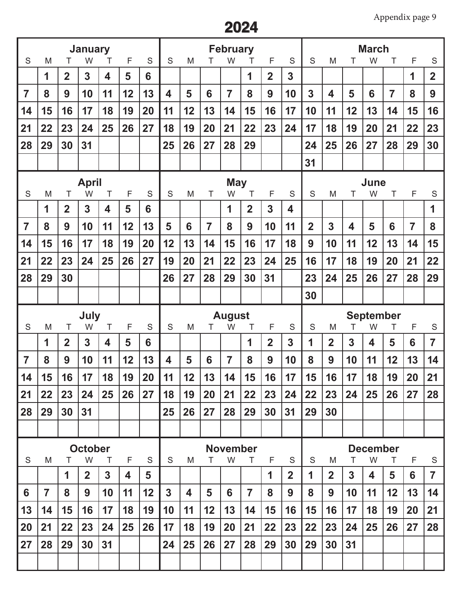|                |                |                | <b>January</b>      |                |    |    |                         |                         |                | <b>February</b>      |                |                |                         |                |                         |    | <b>March</b>          |                |                |                |
|----------------|----------------|----------------|---------------------|----------------|----|----|-------------------------|-------------------------|----------------|----------------------|----------------|----------------|-------------------------|----------------|-------------------------|----|-----------------------|----------------|----------------|----------------|
| S              | M              | т              | W                   | Τ              | F  | S  | S                       | M                       |                | W                    | Т              | F              | S                       | S              | M                       | т  | W                     | Τ              | F              | S              |
|                | 1              | $\overline{2}$ | 3                   | 4              | 5  | 6  |                         |                         |                |                      | 1              | $\overline{2}$ | 3                       |                |                         |    |                       |                | 1              | $\overline{2}$ |
| $\overline{7}$ | 8              | 9              | 10                  | 11             | 12 | 13 | $\overline{\mathbf{4}}$ | 5                       | 6              | $\overline{7}$       | 8              | 9              | 10                      | 3              | $\overline{\mathbf{4}}$ | 5  | 6                     | $\overline{7}$ | 8              | 9              |
| 14             | 15             | 16             | 17                  | 18             | 19 | 20 | 11                      | 12                      | 13             | 14                   | 15             | 16             | 17                      | 10             | 11                      | 12 | 13                    | 14             | 15             | 16             |
| 21             | 22             | 23             | 24                  | 25             | 26 | 27 | 18                      | 19                      | 20             | 21                   | 22             | 23             | 24                      | 17             | 18                      | 19 | 20                    | 21             | 22             | 23             |
| 28             | 29             | 30             | 31                  |                |    |    | 25                      | 26                      | 27             | 28                   | 29             |                |                         | 24             | 25                      | 26 | 27                    | 28             | 29             | 30             |
|                |                |                |                     |                |    |    |                         |                         |                |                      |                |                |                         | 31             |                         |    |                       |                |                |                |
|                |                |                | <b>April</b>        |                |    |    |                         |                         |                | <b>May</b>           |                |                |                         |                |                         |    | June                  |                |                |                |
| S              | M              | Τ              | W                   | Τ              | F  | S  | S                       | M                       | Τ              | W                    | Τ              | F              | S                       | S              | M                       | Т  | W                     | Τ              | F              | S              |
|                | 1              | $\overline{2}$ | 3                   | 4              | 5  | 6  |                         |                         |                | 1                    | $\overline{2}$ | 3              | $\overline{\mathbf{4}}$ |                |                         |    |                       |                |                | 1              |
| $\overline{7}$ | 8              | 9              | 10                  | 11             | 12 | 13 | 5                       | 6                       | $\overline{7}$ | 8                    | 9              | 10             | 11                      | $\overline{2}$ | $\overline{3}$          | 4  | 5                     | 6              | $\overline{7}$ | 8              |
| 14             | 15             | 16             | 17                  | 18             | 19 | 20 | 12                      | 13                      | 14             | 15                   | 16             | 17             | 18                      | 9              | 10                      | 11 | 12                    | 13             | 14             | 15             |
| 21             | 22             | 23             | 24                  | 25             | 26 | 27 | 19                      | 20                      | 21             | 22                   | 23             | 24             | 25                      | 16             | 17                      | 18 | 19                    | 20             | 21             | 22             |
| 28             | 29             | 30             |                     |                |    |    | 26                      | 27                      | 28             | 29                   | 30             | 31             |                         | 23             | 24                      | 25 | 26                    | 27             | 28             | 29             |
|                |                |                |                     |                |    |    |                         |                         |                |                      |                |                |                         | 30             |                         |    |                       |                |                |                |
|                |                |                |                     |                |    |    |                         |                         |                |                      |                |                |                         |                |                         |    |                       |                |                |                |
|                |                |                |                     |                |    |    |                         |                         |                |                      |                |                |                         |                |                         |    |                       |                |                |                |
| S              | M              | Τ              | July<br>W           | T              | F  | S  | S                       | M                       | Τ              | <b>August</b><br>W   | Τ              | F              | S                       | S              | M                       | T  | <b>September</b><br>W | T              | F              | S              |
|                | 1              | $\overline{2}$ | 3                   | 4              | 5  | 6  |                         |                         |                |                      | 1              | $\overline{2}$ | $\mathbf{3}$            | 1              | $\overline{2}$          | 3  | 4                     | 5              | 6              | $\overline{7}$ |
| $\overline{7}$ | 8              | 9              | 10                  | 11             | 12 | 13 | $\overline{\mathbf{4}}$ | 5                       | 6              | 7                    | 8              | 9              | 10                      | 8              | 9                       | 10 | 11                    | 12             | 13             | 14             |
| 14             | 15             | 16             | 17                  | 18             | 19 | 20 | 11                      | 12                      | 13             | 14                   | 15             | 16             | 17                      | 15             | 16                      | 17 | 18                    | 19             | 20             | 21             |
| 21             | 22             | 23             | 24                  | 25             | 26 | 27 | 18                      | 19                      | 20             | 21                   | 22             | 23             | 24                      | 22             | 23                      | 24 | 25                    | 26             | 27             | 28             |
| 28             | 29             | 30             | 31                  |                |    |    | 25                      | 26                      | 27             | 28                   | 29             | 30             | 31                      | 29             | 30                      |    |                       |                |                |                |
|                |                |                |                     |                |    |    |                         |                         |                |                      |                |                |                         |                |                         |    |                       |                |                |                |
|                |                |                |                     |                |    |    |                         |                         |                |                      |                |                |                         |                |                         |    |                       |                |                |                |
| S              | M              | T              | <b>October</b><br>W | Τ              | F  | S  | S                       | M                       | т              | <b>November</b><br>W | Τ              | F              | S                       | S              | M                       | Τ  | <b>December</b><br>W  | Τ              | F              | S              |
|                |                | 1              | $\overline{2}$      | $\overline{3}$ | 4  | 5  |                         |                         |                |                      |                | 1              | $\overline{2}$          | 1              | $\mathbf{2}$            | 3  | 4                     | 5              | 6              | $\overline{7}$ |
| 6              | $\overline{7}$ | 8              | 9                   | 10             | 11 | 12 | $\mathbf{3}$            | $\overline{\mathbf{4}}$ | 5              | 6                    | $\overline{7}$ | 8              | 9                       | 8              | 9                       | 10 | 11                    | 12             | 13             | 14             |
| 13             | 14             | 15             | 16                  | 17             | 18 | 19 | 10                      | 11                      | 12             | 13                   | 14             | 15             | 16                      | 15             | 16                      | 17 | 18                    | 19             | 20             | 21             |
| 20             | 21             | 22             | 23                  | 24             | 25 | 26 | 17                      | 18                      | 19             | 20                   | 21             | 22             | 23                      | 22             | 23                      | 24 | 25                    | 26             | 27             | 28             |
| 27             | 28             | 29             | 30                  | 31             |    |    | 24                      | 25                      | 26             | 27                   | 28             | 29             | 30                      | 29             | 30                      | 31 |                       |                |                |                |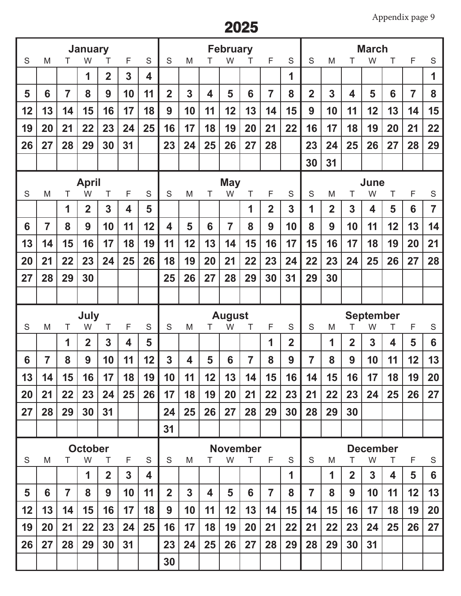|    |                |                | <b>January</b>      |                |                |    |                         |                |    | <b>February</b>    |                 |                |                |                |                |                | <b>March</b>          |    |                |                |
|----|----------------|----------------|---------------------|----------------|----------------|----|-------------------------|----------------|----|--------------------|-----------------|----------------|----------------|----------------|----------------|----------------|-----------------------|----|----------------|----------------|
| S  | M              | Τ              | W                   | Τ              | F              | S  | S                       | M              |    | W                  | Τ               | F              | S              | S              | M              | т              | W                     | Τ  | F              | S              |
|    |                |                | 1                   | $\overline{2}$ | $\overline{3}$ | 4  |                         |                |    |                    |                 |                | 1              |                |                |                |                       |    |                | 1              |
| 5  | 6              | $\overline{7}$ | 8                   | 9              | 10             | 11 | $\overline{2}$          | 3              | 4  | 5                  | 6               | $\overline{7}$ | 8              | $\overline{2}$ | 3              | 4              | 5                     | 6  | $\overline{7}$ | 8              |
| 12 | 13             | 14             | 15                  | 16             | 17             | 18 | 9                       | 10             | 11 | 12                 | 13              | 14             | 15             | 9              | 10             | 11             | 12                    | 13 | 14             | 15             |
| 19 | 20             | 21             | 22                  | 23             | 24             | 25 | 16                      | 17             | 18 | 19                 | 20              | 21             | 22             | 16             | 17             | 18             | 19                    | 20 | 21             | 22             |
| 26 | 27             | 28             | 29                  | 30             | 31             |    | 23                      | 24             | 25 | 26                 | 27              | 28             |                | 23             | 24             | 25             | 26                    | 27 | 28             | 29             |
|    |                |                |                     |                |                |    |                         |                |    |                    |                 |                |                | 30             | 31             |                |                       |    |                |                |
|    |                |                | <b>April</b>        |                |                |    |                         |                |    | <b>May</b>         |                 |                |                |                |                |                | June                  |    |                |                |
| S  | M              | Τ              | W                   | Τ              | F              | S  | S                       | M              | T  | W                  | T               | F              | S              | S              | M              | Τ              | W                     | Τ  | F              | S              |
|    |                | 1              | $\overline{2}$      | 3              | 4              | 5  |                         |                |    |                    | 1               | $\overline{2}$ | 3              | 1              | $\overline{2}$ | $\overline{3}$ | 4                     | 5  | 6              | $\overline{7}$ |
| 6  | $\overline{7}$ | 8              | 9                   | 10             | 11             | 12 | $\overline{\mathbf{4}}$ | 5              | 6  | $\overline{7}$     | 8               | 9              | 10             | 8              | 9              | 10             | 11                    | 12 | 13             | 14             |
| 13 | 14             | 15             | 16                  | 17             | 18             | 19 | 11                      | 12             | 13 | 14                 | 15              | 16             | 17             | 15             | 16             | 17             | 18                    | 19 | 20             | 21             |
| 20 | 21             | 22             | 23                  | 24             | 25             | 26 | 18                      | 19             | 20 | 21                 | 22              | 23             | 24             | 22             | 23             | 24             | 25                    | 26 | 27             | 28             |
| 27 | 28             | 29             | 30                  |                |                |    | 25                      | 26             | 27 | 28                 | 29              | 30             | 31             | 29             | 30             |                |                       |    |                |                |
|    |                |                |                     |                |                |    |                         |                |    |                    |                 |                |                |                |                |                |                       |    |                |                |
|    |                |                |                     |                |                |    |                         |                |    |                    |                 |                |                |                |                |                |                       |    |                |                |
|    |                |                |                     |                |                |    |                         |                |    |                    |                 |                |                |                |                |                |                       |    |                |                |
| S  | M              | Τ              | <b>July</b><br>W    | T              | F              | S  | S                       | M              | T  | <b>August</b><br>W | Τ               | F              | S              | S              | M              | T              | <b>September</b><br>W | T  | F              | ${\mathsf S}$  |
|    |                | 1              | $\mathbf{2}$        | 3              | 4              | 5  |                         |                |    |                    |                 | 1              | $\overline{2}$ |                | 1              | $\overline{2}$ | 3                     | 4  | 5              | 6              |
| 6  | $\overline{7}$ | 8              | 9                   | 10             | 11             | 12 | 3                       | 4              | 5  | 6                  | $\overline{7}$  | 8              | 9              | $\overline{7}$ | 8              | 9              | 10                    | 11 | 12             | 13             |
| 13 | 14             | 15             | 16                  | 17             | 18             | 19 | 10                      | 11             | 12 | 13                 | 14              | 15             | 16             | 14             | 15             | 16             | 17                    | 18 | 19             | 20             |
| 20 | 21             | 22             | 23                  | 24             | 25             | 26 | 17                      | 18             | 19 | 20                 | 21              | 22             | 23             | 21             | 22             | 23             | 24                    | 25 | 26             | 27             |
| 27 | 28             | 29             | 30                  | 31             |                |    | 24                      | 25             | 26 | 27                 | 28              | 29             | 30             | 28             | 29             | 30             |                       |    |                |                |
|    |                |                |                     |                |                |    | 31                      |                |    |                    |                 |                |                |                |                |                |                       |    |                |                |
|    |                |                |                     |                |                |    |                         |                |    |                    | <b>November</b> |                |                |                |                |                |                       |    |                |                |
| S  | M              | Τ              | <b>October</b><br>W | Τ              | F              | S  | S                       | M              | Τ  | W                  | T.              | F              | S              | S              | M              | Τ              | <b>December</b><br>W  | T  | F              | S              |
|    |                |                | 1                   | $\overline{2}$ | 3              | 4  |                         |                |    |                    |                 |                | 1              |                | 1              | $\mathbf{2}$   | 3                     | 4  | 5              | 6              |
| 5  | 6              | $\overline{7}$ | 8                   | 9              | 10             | 11 | $\overline{2}$          | $\overline{3}$ | 4  | 5                  | 6               | $\overline{7}$ | 8              | $\overline{7}$ | 8              | 9              | 10                    | 11 | 12             | 13             |
| 12 | 13             | 14             | 15                  | 16             | 17             | 18 | 9                       | 10             | 11 | 12                 | 13              | 14             | 15             | 14             | 15             | 16             | 17                    | 18 | 19             | 20             |
| 19 | 20             | 21             | 22                  | 23             | 24             | 25 | 16                      | 17             | 18 | 19                 | 20              | 21             | 22             | 21             | 22             | 23             | 24                    | 25 | 26             | 27             |
| 26 | 27             | 28             | 29                  | 30             | 31             |    | 23                      | 24             | 25 | 26                 | 27              | 28             | 29             | 28             | 29             | 30             | 31                    |    |                |                |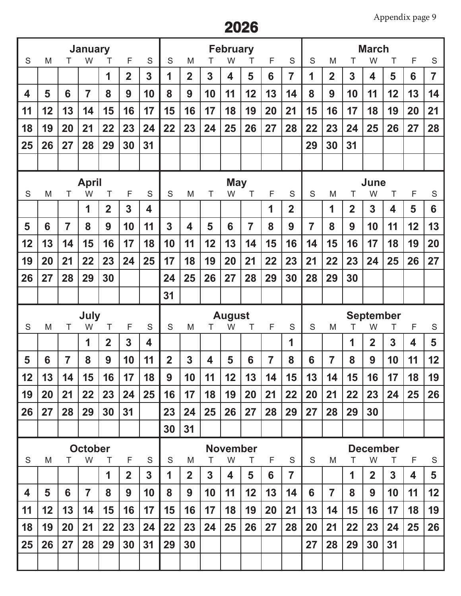|    |    |                | <b>January</b>      |                         |                |    |                |                |                | <b>February</b>         |                |                |                |                |                |                | <b>March</b>            |                         |    |                |
|----|----|----------------|---------------------|-------------------------|----------------|----|----------------|----------------|----------------|-------------------------|----------------|----------------|----------------|----------------|----------------|----------------|-------------------------|-------------------------|----|----------------|
| S  | M  | Τ              | W                   | Τ                       | F              | S  | S              | M              |                | W                       | Τ              | F              | $\mathsf S$    | S              | M              | Τ              | W                       | Τ                       | F  | S              |
|    |    |                |                     | 1                       | $\overline{2}$ | 3  | 1              | $\overline{2}$ | 3              | $\overline{\mathbf{4}}$ | 5              | 6              | $\overline{7}$ | 1              | $\overline{2}$ | $\overline{3}$ | 4                       | 5                       | 6  | $\overline{7}$ |
| 4  | 5  | 6              | $\overline{7}$      | 8                       | 9              | 10 | 8              | 9              | 10             | 11                      | 12             | 13             | 14             | 8              | 9              | 10             | 11                      | 12                      | 13 | 14             |
| 11 | 12 | 13             | 14                  | 15                      | 16             | 17 | 15             | 16             | 17             | 18                      | 19             | 20             | 21             | 15             | 16             | 17             | 18                      | 19                      | 20 | 21             |
| 18 | 19 | 20             | 21                  | 22                      | 23             | 24 | 22             | 23             | 24             | 25                      | 26             | 27             | 28             | 22             | 23             | 24             | 25                      | 26                      | 27 | 28             |
| 25 | 26 | 27             | 28                  | 29                      | 30             | 31 |                |                |                |                         |                |                |                | 29             | 30             | 31             |                         |                         |    |                |
|    |    |                |                     |                         |                |    |                |                |                |                         |                |                |                |                |                |                |                         |                         |    |                |
|    |    |                | <b>April</b>        |                         |                |    |                |                |                | <b>May</b>              |                |                |                |                |                |                | June                    |                         |    |                |
| S  | M  | T              | W                   | Τ                       | F              | S  | S              | M              | Τ              | W                       | T              | F              | S              | S              | M              | т              | W                       | Τ                       | F  | S              |
|    |    |                | 1                   | $\overline{2}$          | $\overline{3}$ | 4  |                |                |                |                         |                | 1              | $\overline{2}$ |                | 1              | $\overline{2}$ | 3                       | $\overline{\mathbf{4}}$ | 5  | 6              |
| 5  | 6  | $\overline{7}$ | 8                   | 9                       | 10             | 11 | 3              | 4              | 5              | 6                       | $\overline{7}$ | 8              | 9              | $\overline{7}$ | 8              | 9              | 10                      | 11                      | 12 | 13             |
| 12 | 13 | 14             | 15                  | 16                      | 17             | 18 | 10             | 11             | 12             | 13                      | 14             | 15             | 16             | 14             | 15             | 16             | 17                      | 18                      | 19 | 20             |
| 19 | 20 | 21             | 22                  | 23                      | 24             | 25 | 17             | 18             | 19             | 20                      | 21             | 22             | 23             | 21             | 22             | 23             | 24                      | 25                      | 26 | 27             |
| 26 | 27 | 28             | 29                  | 30                      |                |    | 24             | 25             | 26             | 27                      | 28             | 29             | 30             | 28             | 29             | 30             |                         |                         |    |                |
|    |    |                |                     |                         |                |    | 31             |                |                |                         |                |                |                |                |                |                |                         |                         |    |                |
|    |    |                |                     |                         |                |    |                |                |                |                         |                |                |                |                |                |                |                         |                         |    |                |
|    |    |                |                     |                         |                |    |                |                |                |                         |                |                |                |                |                |                |                         |                         |    |                |
| S  | M  | T              | <b>July</b><br>W    | Τ                       | F              | S  | S              | M              | Τ              | <b>August</b><br>W      | Τ              | F              | S              | S              | M              | Τ              | <b>September</b><br>W   | T                       | F  | S              |
|    |    |                | 1                   | $\overline{\mathbf{2}}$ | $\overline{3}$ | 4  |                |                |                |                         |                |                | 1              |                |                | 1              | $\overline{\mathbf{2}}$ | 3                       | 4  | 5              |
| 5  | 6  | $\overline{7}$ | 8                   | 9                       | 10             | 11 | $\overline{2}$ | 3              | 4              | 5                       | 6              | $\overline{7}$ | 8              | 6              | $\overline{7}$ | 8              | 9                       | 10                      | 11 | 12             |
| 12 | 13 | 14             | 15                  | 16                      | 17             | 18 | 9              | 10             | 11             | 12                      | 13             | 14             | 15             | 13             | 14             | 15             | 16                      | 17                      | 18 | 19             |
| 19 | 20 | 21             | 22                  | 23                      | 24             | 25 | 16             | 17             | 18             | 19                      | 20             | 21             | 22             | 20             | 21             | 22             | 23                      | 24                      | 25 | 26             |
| 26 | 27 | 28             | 29                  | 30                      | 31             |    | 23             | 24             | 25             | 26                      | 27             | 28             | 29             | 27             | 28             | 29             | 30                      |                         |    |                |
|    |    |                |                     |                         |                |    | 30             | 31             |                |                         |                |                |                |                |                |                |                         |                         |    |                |
|    |    |                |                     |                         |                |    |                |                |                | <b>November</b>         |                |                |                |                |                |                | <b>December</b>         |                         |    |                |
| S  | M  | Τ              | <b>October</b><br>W | T                       | F              | S  | S              | M              | т              | W                       | T.             | F              | S              | S              | M              | Τ              | W                       | T                       | F  | S              |
|    |    |                |                     | 1                       | $\overline{2}$ | 3  | 1              | $\overline{2}$ | 3 <sup>1</sup> | 4                       | 5              | 6              | $\overline{7}$ |                |                | 1              | $\overline{2}$          | $\mathbf{3}$            | 4  | 5              |
| 4  | 5  | 6              | $\overline{7}$      | 8                       | 9              | 10 | 8              | 9              | 10             | 11                      | 12             | 13             | 14             | 6              | $\overline{7}$ | 8              | 9                       | 10                      | 11 | 12             |
| 11 | 12 | 13             | 14                  | 15                      | 16             | 17 | 15             | 16             | 17             | 18                      | 19             | 20             | 21             | 13             | 14             | 15             | 16                      | 17                      | 18 | 19             |
| 18 | 19 | 20             | 21                  | 22                      | 23             | 24 | 22             | 23             | 24             | 25                      | 26             | 27             | 28             | 20             | 21             | 22             | 23                      | 24                      | 25 | 26             |
| 25 | 26 | 27             | 28                  | 29                      | 30             | 31 | 29             | 30             |                |                         |                |                |                | 27             | 28             | 29             | 30                      | 31                      |    |                |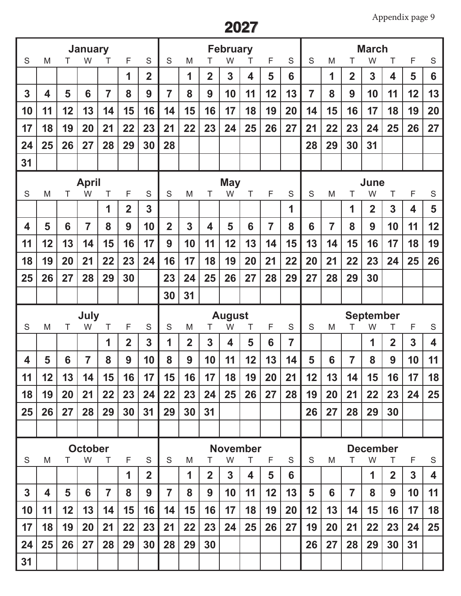| S            | <b>January</b><br>S<br>M<br>F<br>W<br>Τ<br>т                |    |                |                |                |                |                | <b>February</b><br>S<br>S<br>M<br>F<br>W<br>T |                |                    |    |                |                |                |                | <b>March</b><br>S<br>M<br>F<br>S<br>W<br>Τ |                       |                              |                |    |  |
|--------------|-------------------------------------------------------------|----|----------------|----------------|----------------|----------------|----------------|-----------------------------------------------|----------------|--------------------|----|----------------|----------------|----------------|----------------|--------------------------------------------|-----------------------|------------------------------|----------------|----|--|
|              |                                                             |    |                |                | 1              | $\overline{2}$ |                | 1                                             | $\overline{2}$ | 3                  | 4  | 5              | 6              |                | 1              | $\overline{2}$                             | 3                     | 4                            | 5              | 6  |  |
| 3            | 4                                                           | 5  | 6              | $\overline{7}$ | 8              | 9              | $\overline{7}$ | 8                                             | 9              | 10                 | 11 | 12             | 13             | $\overline{7}$ | 8              | 9                                          | 10                    | 11                           | 12             | 13 |  |
| 10           | 11                                                          | 12 | 13             | 14             | 15             | 16             | 14             | 15                                            | 16             | 17                 | 18 | 19             | 20             | 14             | 15             | 16                                         | 17                    | 18                           | 19             | 20 |  |
| 17           | 18                                                          | 19 | 20             | 21             | 22             | 23             | 21             | 22                                            | 23             | 24                 | 25 | 26             | 27             | 21             | 22             | 23                                         | 24                    | 25                           | 26             | 27 |  |
| 24           | 25                                                          | 26 | 27             | 28             | 29             | 30             | 28             |                                               |                |                    |    |                |                | 28             | 29             | 30                                         | 31                    |                              |                |    |  |
| 31           |                                                             |    |                |                |                |                |                |                                               |                |                    |    |                |                |                |                |                                            |                       |                              |                |    |  |
| <b>April</b> |                                                             |    |                |                |                |                |                | <b>May</b>                                    |                |                    |    | June           |                |                |                |                                            |                       |                              |                |    |  |
|              | S<br>F<br>S<br>M<br>W<br>Τ<br>Τ<br>$\overline{2}$<br>1<br>3 |    |                |                |                | S              | M              | Τ                                             | W              | T                  | F  | S<br>1         | S              | M              | Τ<br>1         | W<br>$\overline{2}$                        | T<br>3                | F<br>$\overline{\mathbf{4}}$ | S<br>5         |    |  |
| 4            | 5                                                           | 6  | $\overline{7}$ | 8              | 9              | 10             | $\overline{2}$ | 3                                             | 4              | 5                  | 6  | $\overline{7}$ | 8              | 6              | $\overline{7}$ | 8                                          | 9                     | 10                           | 11             | 12 |  |
| 11           | 12                                                          | 13 | 14             | 15             | 16             | 17             | 9              | 10                                            | 11             | 12                 | 13 | 14             | 15             | 13             | 14             | 15                                         | 16                    | 17                           | 18             | 19 |  |
| 18           | 19                                                          | 20 | 21             | 22             | 23             | 24             | 16             | 17                                            | 18             | 19                 | 20 | 21             | 22             | 20             | 21             | 22                                         | 23                    | 24                           | 25             | 26 |  |
| 25           | 26                                                          | 27 | 28             | 29             | 30             |                | 23             | 24                                            | 25             | 26                 | 27 | 28             | 29             | 27             | 28             | 29                                         | 30                    |                              |                |    |  |
|              |                                                             |    |                |                |                |                | 30             | 31                                            |                |                    |    |                |                |                |                |                                            |                       |                              |                |    |  |
|              |                                                             |    |                |                |                |                |                |                                               |                |                    |    |                |                |                |                |                                            |                       |                              |                |    |  |
|              |                                                             |    |                |                |                |                |                |                                               |                |                    |    |                |                |                |                |                                            |                       |                              |                |    |  |
| S            | M                                                           | т  | July<br>W      | Τ              | F              | S              | S              | M                                             | T              | <b>August</b><br>W | Τ  | F              | $\mathsf S$    | S              | M              | T                                          | <b>September</b><br>W | Τ                            | F              | S  |  |
|              |                                                             |    |                | 1              | $\overline{2}$ | 3              | 1              | $\overline{2}$                                | 3              | 4                  | 5  | 6              | $\overline{7}$ |                |                |                                            | 1                     | $\overline{2}$               | 3              | 4  |  |
| 4            | 5                                                           | 6  | $\overline{7}$ | 8              | 9              | 10             | 8              | 9                                             | 10             | 11                 | 12 | 13             | 14             | 5              | 6              | $\overline{7}$                             | 8                     | 9                            | 10             | 11 |  |
| 11           | 12                                                          | 13 | 14             | 15             | 16             | 17             | 15             | 16                                            | 17             | 18                 | 19 | 20             | 21             | 12             | 13             | 14                                         | 15                    | 16                           | 17             | 18 |  |
| 18           | 19                                                          | 20 | 21             | 22             | 23             | 24             | 22             | 23                                            | 24             | 25                 | 26 | 27             | 28             | 19             | 20             | 21                                         | 22                    | 23                           | 24             | 25 |  |
| 25           | 26                                                          | 27 | 28             | 29             | 30             | 31             | 29             | 30                                            | 31             |                    |    |                |                | 26             | 27             | 28                                         | 29                    | 30                           |                |    |  |
|              |                                                             |    |                |                |                |                |                |                                               |                |                    |    |                |                |                |                |                                            |                       |                              |                |    |  |
|              |                                                             |    | <b>October</b> |                |                |                |                |                                               |                | <b>November</b>    |    |                |                |                |                |                                            | <b>December</b>       |                              |                |    |  |
| S            | M                                                           | Τ  | W              | $\top$         | F              | S              | S              | M                                             | Τ              | W                  | T  | F              | S              | S              | M              | Τ                                          | W                     | $\top$                       | F              | S  |  |
|              |                                                             |    |                |                | 1              | $\overline{2}$ |                | 1                                             | $\overline{2}$ | 3                  | 4  | 5              | 6              |                |                |                                            | 1                     | $\overline{2}$               | $\overline{3}$ | 4  |  |
| 3            | 4                                                           | 5  | 6              | $\overline{7}$ | 8              | 9              | $\overline{7}$ | 8                                             | 9              | 10                 | 11 | 12             | 13             | 5              | 6              | $\overline{7}$                             | 8                     | 9                            | 10             | 11 |  |
| 10           | 11                                                          | 12 | 13             | 14             | 15             | 16             | 14             | 15                                            | 16             | 17                 | 18 | 19             | 20             | 12             | 13             | 14                                         | 15                    | 16                           | 17             | 18 |  |
| 17           | 18                                                          | 19 | 20             | 21             | 22             | 23             | 21             | 22                                            | 23             | 24                 | 25 | 26             | 27             | 19             | 20             | 21                                         | 22                    | 23                           | 24             | 25 |  |
| 24<br>31     | 25                                                          | 26 | 27             | 28             | 29             | 30             | 28             | 29                                            | 30             |                    |    |                |                | 26             | 27             | 28                                         | 29                    | 30                           | 31             |    |  |